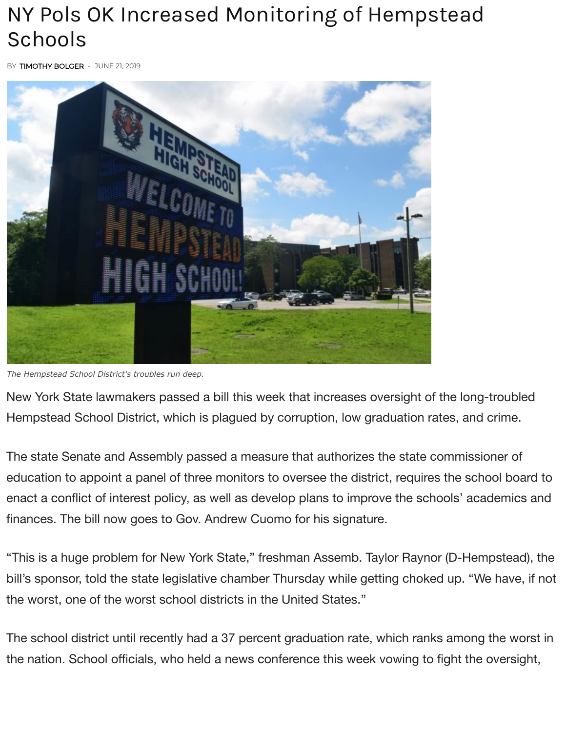## NY Pols OK Increased Monitoring of Hempstead Schools

BY [TIMOTHY BOLGER](https://www.longislandpress.com/author/timothy-bolger/) - JUNE 21, 2019



*The Hempstead School District's troubles run deep.*

New York State lawmakers passed a bill this week that increases oversight of the long-troubled [Hempstead S](https://www.longislandpress.com/#facebook)[choo](https://www.longislandpress.com/#twitter)[l Dist](https://www.longislandpress.com/#printfriendly)[rict, w](https://www.addtoany.com/share#url=https%3A%2F%2Fwww.longislandpress.com%2F2019%2F06%2F21%2Fny-pols-ok-increased-monitoring-of-hempstead-schools%2F&title=NY%20Pols%20OK%20Increased%20Monitoring%20of%20Hempstead%20Schools)hich is plagued by corruption, low graduation rates, and crime.

The state Senate and Assembly passed a measure that authorizes the state commissioner of education to appoint a panel of three monitors to oversee the district, requires the school board to enact a conflict of interest policy, as well as develop plans to improve the schools' academics and finances. The bill now goes to Gov. Andrew Cuomo for his signature.

"This is a huge problem for New York State," freshman Assemb. Taylor Raynor (D-Hempstead), the bill's sponsor, told the state legislative chamber Thursday while getting choked up. "We have, if not the worst, one of the worst school districts in the United States."

The school district until recently had a 37 percent graduation rate, which ranks among the worst in the nation. School officials, who held a news conference this week vowing to fight the oversight,